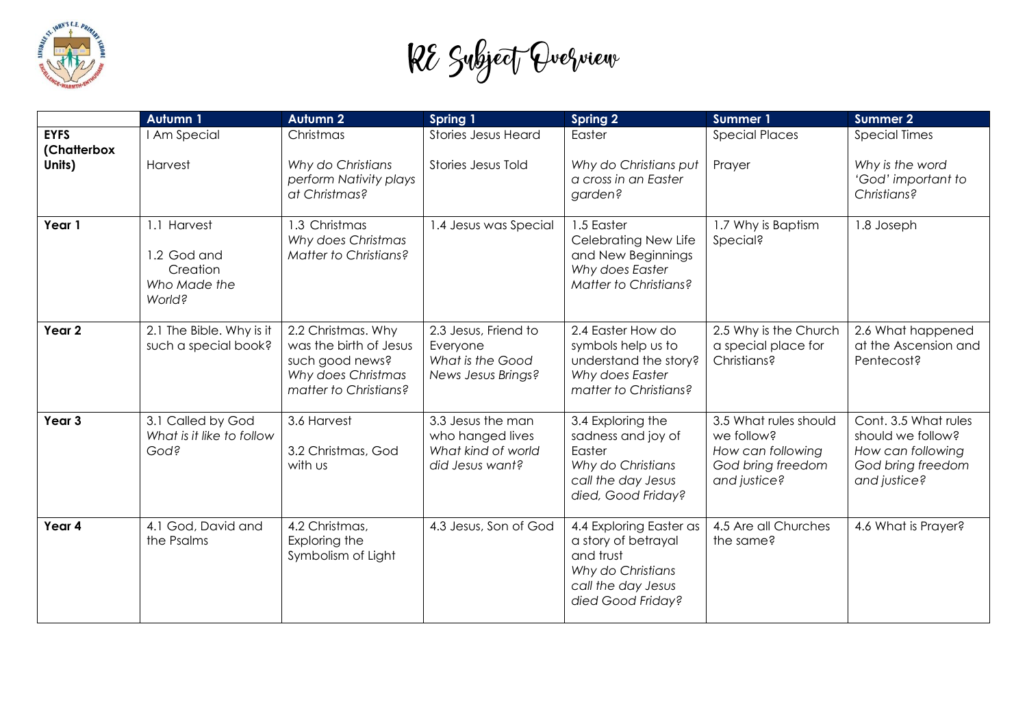

RE Subject Quelview

|                            | <b>Autumn 1</b>                                                  | <b>Autumn 2</b>                                                                                                | Spring 1                                                                       | <b>Spring 2</b>                                                                                                             | <b>Summer 1</b>                                                                               | <b>Summer 2</b>                                                                                     |
|----------------------------|------------------------------------------------------------------|----------------------------------------------------------------------------------------------------------------|--------------------------------------------------------------------------------|-----------------------------------------------------------------------------------------------------------------------------|-----------------------------------------------------------------------------------------------|-----------------------------------------------------------------------------------------------------|
| <b>EYFS</b><br>(Chatterbox | I Am Special                                                     | Christmas                                                                                                      | <b>Stories Jesus Heard</b>                                                     | Easter                                                                                                                      | <b>Special Places</b>                                                                         | <b>Special Times</b>                                                                                |
| Units)                     | Harvest                                                          | Why do Christians<br>perform Nativity plays<br>at Christmas?                                                   | Stories Jesus Told                                                             | Why do Christians put<br>a cross in an Easter<br>garden?                                                                    | Prayer                                                                                        | Why is the word<br>'God' important to<br>Christians?                                                |
| Year 1                     | 1.1 Harvest<br>1.2 God and<br>Creation<br>Who Made the<br>World? | 1.3 Christmas<br>Why does Christmas<br>Matter to Christians?                                                   | 1.4 Jesus was Special                                                          | 1.5 Easter<br>Celebrating New Life<br>and New Beginnings<br>Why does Easter<br>Matter to Christians?                        | 1.7 Why is Baptism<br>Special?                                                                | 1.8 Joseph                                                                                          |
| Year 2                     | 2.1 The Bible. Why is it<br>such a special book?                 | 2.2 Christmas. Why<br>was the birth of Jesus<br>such good news?<br>Why does Christmas<br>matter to Christians? | 2.3 Jesus, Friend to<br>Everyone<br>What is the Good<br>News Jesus Brings?     | 2.4 Easter How do<br>symbols help us to<br>understand the story?<br>Why does Easter<br>matter to Christians?                | 2.5 Why is the Church<br>a special place for<br>Christians?                                   | 2.6 What happened<br>at the Ascension and<br>Pentecost?                                             |
| Year 3                     | 3.1 Called by God<br>What is it like to follow<br>God?           | 3.6 Harvest<br>3.2 Christmas, God<br>with us                                                                   | 3.3 Jesus the man<br>who hanged lives<br>What kind of world<br>did Jesus want? | 3.4 Exploring the<br>sadness and joy of<br>Easter<br>Why do Christians<br>call the day Jesus<br>died, Good Friday?          | 3.5 What rules should<br>we follow?<br>How can following<br>God bring freedom<br>and justice? | Cont. 3.5 What rules<br>should we follow?<br>How can following<br>God bring freedom<br>and justice? |
| Year 4                     | 4.1 God, David and<br>the Psalms                                 | 4.2 Christmas,<br>Exploring the<br>Symbolism of Light                                                          | 4.3 Jesus, Son of God                                                          | 4.4 Exploring Easter as<br>a story of betrayal<br>and trust<br>Why do Christians<br>call the day Jesus<br>died Good Friday? | 4.5 Are all Churches<br>the same?                                                             | 4.6 What is Prayer?                                                                                 |